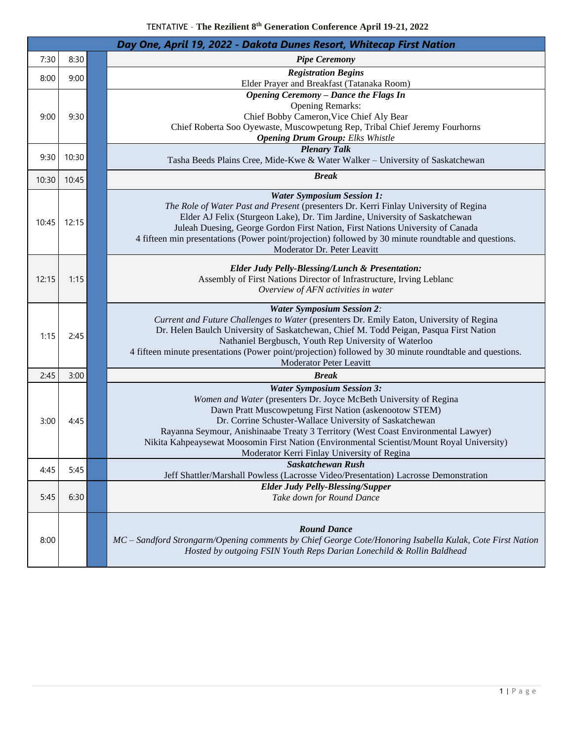## TENTATIVE – **The Rezilient 8th Generation Conference April 19-21, 2022**

| Day One, April 19, 2022 - Dakota Dunes Resort, Whitecap First Nation |       |  |                                                                                                                                                                  |  |  |  |
|----------------------------------------------------------------------|-------|--|------------------------------------------------------------------------------------------------------------------------------------------------------------------|--|--|--|
| 7:30                                                                 | 8:30  |  | <b>Pipe Ceremony</b>                                                                                                                                             |  |  |  |
| 8:00                                                                 | 9:00  |  | <b>Registration Begins</b>                                                                                                                                       |  |  |  |
|                                                                      |       |  | Elder Prayer and Breakfast (Tatanaka Room)                                                                                                                       |  |  |  |
|                                                                      |       |  | <b>Opening Ceremony - Dance the Flags In</b><br><b>Opening Remarks:</b>                                                                                          |  |  |  |
| 9:00                                                                 | 9:30  |  | Chief Bobby Cameron, Vice Chief Aly Bear                                                                                                                         |  |  |  |
|                                                                      |       |  | Chief Roberta Soo Oyewaste, Muscowpetung Rep, Tribal Chief Jeremy Fourhorns                                                                                      |  |  |  |
|                                                                      |       |  | <b>Opening Drum Group:</b> Elks Whistle                                                                                                                          |  |  |  |
| 9:30                                                                 | 10:30 |  | <b>Plenary Talk</b>                                                                                                                                              |  |  |  |
|                                                                      |       |  | Tasha Beeds Plains Cree, Mide-Kwe & Water Walker - University of Saskatchewan                                                                                    |  |  |  |
| 10:30                                                                | 10:45 |  | <b>Break</b>                                                                                                                                                     |  |  |  |
|                                                                      |       |  | <b>Water Symposium Session 1:</b>                                                                                                                                |  |  |  |
|                                                                      |       |  | The Role of Water Past and Present (presenters Dr. Kerri Finlay University of Regina                                                                             |  |  |  |
| 10:45                                                                | 12:15 |  | Elder AJ Felix (Sturgeon Lake), Dr. Tim Jardine, University of Saskatchewan                                                                                      |  |  |  |
|                                                                      |       |  | Juleah Duesing, George Gordon First Nation, First Nations University of Canada                                                                                   |  |  |  |
|                                                                      |       |  | 4 fifteen min presentations (Power point/projection) followed by 30 minute roundtable and questions.<br>Moderator Dr. Peter Leavitt                              |  |  |  |
|                                                                      |       |  |                                                                                                                                                                  |  |  |  |
|                                                                      |       |  | <b>Elder Judy Pelly-Blessing/Lunch &amp; Presentation:</b>                                                                                                       |  |  |  |
| 12:15                                                                | 1:15  |  | Assembly of First Nations Director of Infrastructure, Irving Leblanc                                                                                             |  |  |  |
|                                                                      |       |  | Overview of AFN activities in water                                                                                                                              |  |  |  |
|                                                                      |       |  | <b>Water Symposium Session 2:</b>                                                                                                                                |  |  |  |
|                                                                      |       |  | Current and Future Challenges to Water (presenters Dr. Emily Eaton, University of Regina                                                                         |  |  |  |
| 1:15                                                                 | 2:45  |  | Dr. Helen Baulch University of Saskatchewan, Chief M. Todd Peigan, Pasqua First Nation                                                                           |  |  |  |
|                                                                      |       |  | Nathaniel Bergbusch, Youth Rep University of Waterloo<br>4 fifteen minute presentations (Power point/projection) followed by 30 minute roundtable and questions. |  |  |  |
|                                                                      |       |  | Moderator Peter Leavitt                                                                                                                                          |  |  |  |
| 2:45                                                                 | 3:00  |  | <b>Break</b>                                                                                                                                                     |  |  |  |
|                                                                      |       |  | <b>Water Symposium Session 3:</b>                                                                                                                                |  |  |  |
|                                                                      |       |  | Women and Water (presenters Dr. Joyce McBeth University of Regina                                                                                                |  |  |  |
|                                                                      |       |  | Dawn Pratt Muscowpetung First Nation (askenootow STEM)                                                                                                           |  |  |  |
| 3:00                                                                 | 4:45  |  | Dr. Corrine Schuster-Wallace University of Saskatchewan<br>Rayanna Seymour, Anishinaabe Treaty 3 Territory (West Coast Environmental Lawyer)                     |  |  |  |
|                                                                      |       |  | Nikita Kahpeaysewat Moosomin First Nation (Environmental Scientist/Mount Royal University)                                                                       |  |  |  |
|                                                                      |       |  | Moderator Kerri Finlay University of Regina                                                                                                                      |  |  |  |
|                                                                      |       |  | <b>Saskatchewan Rush</b>                                                                                                                                         |  |  |  |
| 4:45                                                                 | 5:45  |  | Jeff Shattler/Marshall Powless (Lacrosse Video/Presentation) Lacrosse Demonstration                                                                              |  |  |  |
|                                                                      |       |  | <b>Elder Judy Pelly-Blessing/Supper</b>                                                                                                                          |  |  |  |
| 5:45                                                                 | 6:30  |  | Take down for Round Dance                                                                                                                                        |  |  |  |
|                                                                      |       |  |                                                                                                                                                                  |  |  |  |
|                                                                      |       |  | <b>Round Dance</b>                                                                                                                                               |  |  |  |
| 8:00                                                                 |       |  | MC - Sandford Strongarm/Opening comments by Chief George Cote/Honoring Isabella Kulak, Cote First Nation                                                         |  |  |  |
|                                                                      |       |  | Hosted by outgoing FSIN Youth Reps Darian Lonechild & Rollin Baldhead                                                                                            |  |  |  |
|                                                                      |       |  |                                                                                                                                                                  |  |  |  |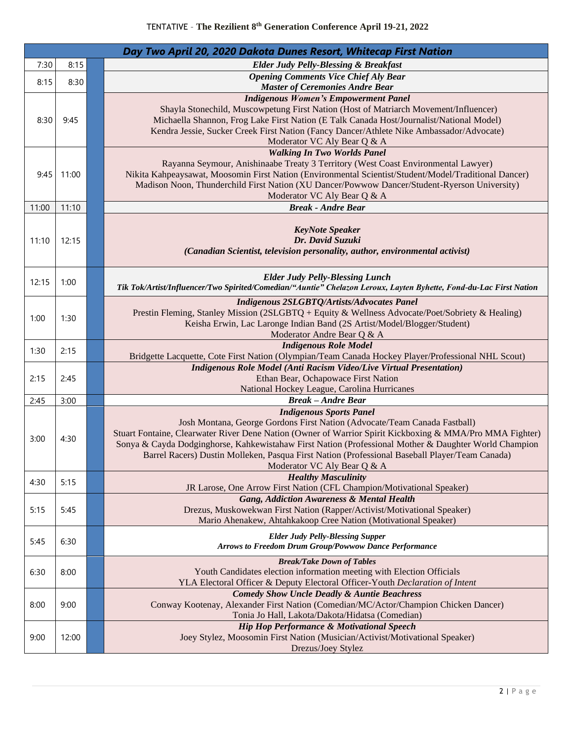|       | Day Two April 20, 2020 Dakota Dunes Resort, Whitecap First Nation |  |                                                                                                                                                                                                                   |  |  |  |  |
|-------|-------------------------------------------------------------------|--|-------------------------------------------------------------------------------------------------------------------------------------------------------------------------------------------------------------------|--|--|--|--|
| 7:30  | 8:15                                                              |  | <b>Elder Judy Pelly-Blessing &amp; Breakfast</b>                                                                                                                                                                  |  |  |  |  |
| 8:15  | 8:30                                                              |  | <b>Opening Comments Vice Chief Aly Bear</b>                                                                                                                                                                       |  |  |  |  |
|       |                                                                   |  | <b>Master of Ceremonies Andre Bear</b>                                                                                                                                                                            |  |  |  |  |
|       |                                                                   |  | <b>Indigenous Women's Empowerment Panel</b><br>Shayla Stonechild, Muscowpetung First Nation (Host of Matriarch Movement/Influencer)                                                                               |  |  |  |  |
| 8:30  | 9:45                                                              |  | Michaella Shannon, Frog Lake First Nation (E Talk Canada Host/Journalist/National Model)                                                                                                                          |  |  |  |  |
|       |                                                                   |  | Kendra Jessie, Sucker Creek First Nation (Fancy Dancer/Athlete Nike Ambassador/Advocate)                                                                                                                          |  |  |  |  |
|       |                                                                   |  | Moderator VC Aly Bear Q & A                                                                                                                                                                                       |  |  |  |  |
|       |                                                                   |  | <b>Walking In Two Worlds Panel</b>                                                                                                                                                                                |  |  |  |  |
|       |                                                                   |  | Rayanna Seymour, Anishinaabe Treaty 3 Territory (West Coast Environmental Lawyer)                                                                                                                                 |  |  |  |  |
| 9:45  | 11:00                                                             |  | Nikita Kahpeaysawat, Moosomin First Nation (Environmental Scientist/Student/Model/Traditional Dancer)                                                                                                             |  |  |  |  |
|       |                                                                   |  | Madison Noon, Thunderchild First Nation (XU Dancer/Powwow Dancer/Student-Ryerson University)                                                                                                                      |  |  |  |  |
| 11:00 | 11:10                                                             |  | Moderator VC Aly Bear Q & A<br><b>Break - Andre Bear</b>                                                                                                                                                          |  |  |  |  |
|       |                                                                   |  |                                                                                                                                                                                                                   |  |  |  |  |
|       |                                                                   |  | <b>KeyNote Speaker</b>                                                                                                                                                                                            |  |  |  |  |
| 11:10 | 12:15                                                             |  | Dr. David Suzuki                                                                                                                                                                                                  |  |  |  |  |
|       |                                                                   |  | (Canadian Scientist, television personality, author, environmental activist)                                                                                                                                      |  |  |  |  |
|       |                                                                   |  |                                                                                                                                                                                                                   |  |  |  |  |
| 12:15 | 1:00                                                              |  | <b>Elder Judy Pelly-Blessing Lunch</b>                                                                                                                                                                            |  |  |  |  |
|       |                                                                   |  | Tik Tok/Artist/Influencer/Two Spirited/Comedian/"Auntie" Chelazon Leroux, Layten Byhette, Fond-du-Lac First Nation                                                                                                |  |  |  |  |
|       |                                                                   |  | Indigenous 2SLGBTQ/Artists/Advocates Panel                                                                                                                                                                        |  |  |  |  |
| 1:00  | 1:30                                                              |  | Prestin Fleming, Stanley Mission (2SLGBTQ + Equity & Wellness Advocate/Poet/Sobriety & Healing)                                                                                                                   |  |  |  |  |
|       |                                                                   |  | Keisha Erwin, Lac Laronge Indian Band (2S Artist/Model/Blogger/Student)                                                                                                                                           |  |  |  |  |
|       |                                                                   |  | Moderator Andre Bear Q & A<br><b>Indigenous Role Model</b>                                                                                                                                                        |  |  |  |  |
| 1:30  | 2:15                                                              |  | Bridgette Lacquette, Cote First Nation (Olympian/Team Canada Hockey Player/Professional NHL Scout)                                                                                                                |  |  |  |  |
|       |                                                                   |  | <b>Indigenous Role Model (Anti Racism Video/Live Virtual Presentation)</b>                                                                                                                                        |  |  |  |  |
| 2:15  | 2:45                                                              |  | Ethan Bear, Ochapowace First Nation                                                                                                                                                                               |  |  |  |  |
|       |                                                                   |  | National Hockey League, Carolina Hurricanes                                                                                                                                                                       |  |  |  |  |
| 2:45  | 3:00                                                              |  | <b>Break</b> – Andre Bear                                                                                                                                                                                         |  |  |  |  |
|       |                                                                   |  | <b>Indigenous Sports Panel</b>                                                                                                                                                                                    |  |  |  |  |
|       |                                                                   |  | Josh Montana, George Gordons First Nation (Advocate/Team Canada Fastball)                                                                                                                                         |  |  |  |  |
| 3:00  | 4:30                                                              |  | Stuart Fontaine, Clearwater River Dene Nation (Owner of Warrior Spirit Kickboxing & MMA/Pro MMA Fighter)<br>Sonya & Cayda Dodginghorse, Kahkewistahaw First Nation (Professional Mother & Daughter World Champion |  |  |  |  |
|       |                                                                   |  | Barrel Racers) Dustin Molleken, Pasqua First Nation (Professional Baseball Player/Team Canada)                                                                                                                    |  |  |  |  |
|       |                                                                   |  | Moderator VC Aly Bear Q & A                                                                                                                                                                                       |  |  |  |  |
| 4:30  | 5:15                                                              |  | <b>Healthy Masculinity</b>                                                                                                                                                                                        |  |  |  |  |
|       |                                                                   |  | JR Larose, One Arrow First Nation (CFL Champion/Motivational Speaker)                                                                                                                                             |  |  |  |  |
|       |                                                                   |  | <b>Gang, Addiction Awareness &amp; Mental Health</b>                                                                                                                                                              |  |  |  |  |
| 5:15  | 5:45                                                              |  | Drezus, Muskowekwan First Nation (Rapper/Activist/Motivational Speaker)                                                                                                                                           |  |  |  |  |
|       |                                                                   |  | Mario Ahenakew, Ahtahkakoop Cree Nation (Motivational Speaker)                                                                                                                                                    |  |  |  |  |
| 5:45  | 6:30                                                              |  | <b>Elder Judy Pelly-Blessing Supper</b>                                                                                                                                                                           |  |  |  |  |
|       |                                                                   |  | <b>Arrows to Freedom Drum Group/Powwow Dance Performance</b>                                                                                                                                                      |  |  |  |  |
|       |                                                                   |  | <b>Break/Take Down of Tables</b>                                                                                                                                                                                  |  |  |  |  |
| 6:30  | 8:00                                                              |  | Youth Candidates election information meeting with Election Officials<br>YLA Electoral Officer & Deputy Electoral Officer-Youth Declaration of Intent                                                             |  |  |  |  |
|       |                                                                   |  | <b>Comedy Show Uncle Deadly &amp; Auntie Beachress</b>                                                                                                                                                            |  |  |  |  |
| 8:00  | 9:00                                                              |  | Conway Kootenay, Alexander First Nation (Comedian/MC/Actor/Champion Chicken Dancer)                                                                                                                               |  |  |  |  |
|       |                                                                   |  | Tonia Jo Hall, Lakota/Dakota/Hidatsa (Comedian)                                                                                                                                                                   |  |  |  |  |
|       |                                                                   |  | Hip Hop Performance & Motivational Speech                                                                                                                                                                         |  |  |  |  |
| 9:00  | 12:00                                                             |  | Joey Stylez, Moosomin First Nation (Musician/Activist/Motivational Speaker)                                                                                                                                       |  |  |  |  |
|       |                                                                   |  | Drezus/Joey Stylez                                                                                                                                                                                                |  |  |  |  |